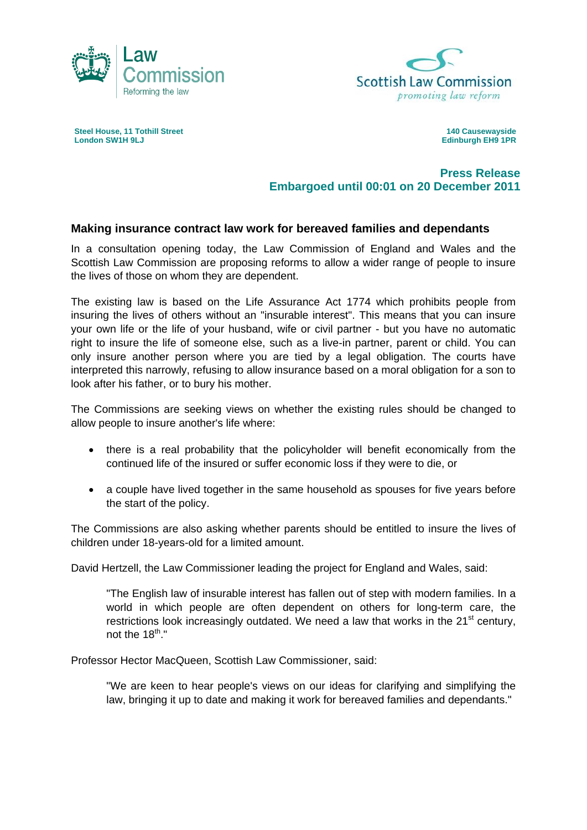



**Steel House, 11 Tothill Street London SW1H 9LJ** 

**140 Causewayside Edinburgh EH9 1PR** 

## **Press Release Embargoed until 00:01 on 20 December 2011**

## **Making insurance contract law work for bereaved families and dependants**

In a consultation opening today, the Law Commission of England and Wales and the Scottish Law Commission are proposing reforms to allow a wider range of people to insure the lives of those on whom they are dependent.

The existing law is based on the Life Assurance Act 1774 which prohibits people from insuring the lives of others without an "insurable interest". This means that you can insure your own life or the life of your husband, wife or civil partner - but you have no automatic right to insure the life of someone else, such as a live-in partner, parent or child. You can only insure another person where you are tied by a legal obligation. The courts have interpreted this narrowly, refusing to allow insurance based on a moral obligation for a son to look after his father, or to bury his mother.

The Commissions are seeking views on whether the existing rules should be changed to allow people to insure another's life where:

- there is a real probability that the policyholder will benefit economically from the continued life of the insured or suffer economic loss if they were to die, or
- a couple have lived together in the same household as spouses for five years before the start of the policy.

The Commissions are also asking whether parents should be entitled to insure the lives of children under 18-years-old for a limited amount.

David Hertzell, the Law Commissioner leading the project for England and Wales, said:

 "The English law of insurable interest has fallen out of step with modern families. In a world in which people are often dependent on others for long-term care, the restrictions look increasingly outdated. We need a law that works in the  $21<sup>st</sup>$  century, not the  $18^{th}$ ."

Professor Hector MacQueen, Scottish Law Commissioner, said:

 "We are keen to hear people's views on our ideas for clarifying and simplifying the law, bringing it up to date and making it work for bereaved families and dependants."